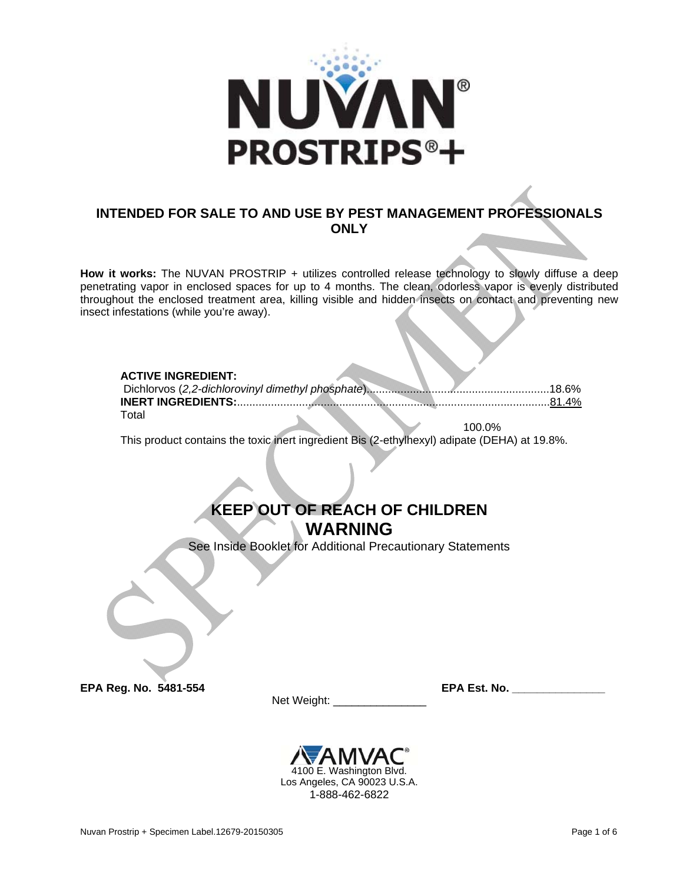

# **INTENDED FOR SALE TO AND USE BY PEST MANAGEMENT PROFESSIONALS ONLY**

**How it works:** The NUVAN PROSTRIP + utilizes controlled release technology to slowly diffuse a deep penetrating vapor in enclosed spaces for up to 4 months. The clean, odorless vapor is evenly distributed throughout the enclosed treatment area, killing visible and hidden insects on contact and preventing new insect infestations (while you're away).

## **ACTIVE INGREDIENT:**

| ™ota⊧ |  |        |
|-------|--|--------|
|       |  | ነበበ በ% |

This product contains the toxic inert ingredient Bis (2-ethylhexyl) adipate (DEHA) at 19.8%.

# **KEEP OUT OF REACH OF CHILDREN WARNING**

See Inside Booklet for Additional Precautionary Statements

**EPA Reg. No. 5481-554 EPA Est. No. \_\_\_\_\_** 

Net Weight: \_\_\_\_\_\_\_\_\_\_\_\_\_\_\_

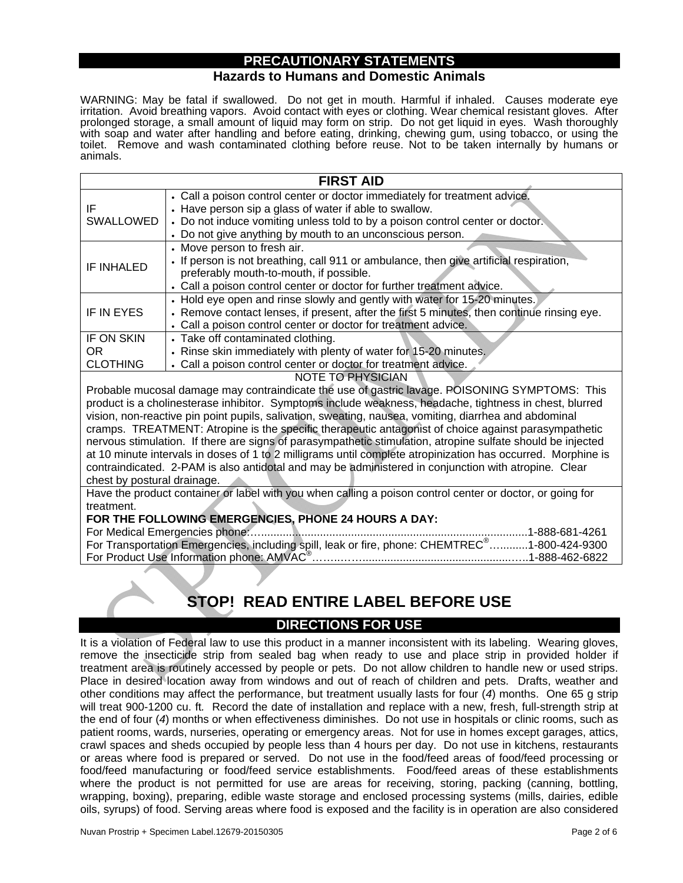# **PRECAUTIONARY STATEMENTS**

## **Hazards to Humans and Domestic Animals**

WARNING: May be fatal if swallowed. Do not get in mouth. Harmful if inhaled. Causes moderate eye irritation. Avoid breathing vapors. Avoid contact with eyes or clothing. Wear chemical resistant gloves. After prolonged storage, a small amount of liquid may form on strip. Do not get liquid in eyes. Wash thoroughly with soap and water after handling and before eating, drinking, chewing gum, using tobacco, or using the toilet. Remove and wash contaminated clothing before reuse. Not to be taken internally by humans or animals.

| <b>FIRST AID</b> |                                                                                                                                                                                                                                                                                    |  |  |
|------------------|------------------------------------------------------------------------------------------------------------------------------------------------------------------------------------------------------------------------------------------------------------------------------------|--|--|
| IF<br>SWALLOWED  | • Call a poison control center or doctor immediately for treatment advice.<br>• Have person sip a glass of water if able to swallow.<br>• Do not induce vomiting unless told to by a poison control center or doctor.<br>• Do not give anything by mouth to an unconscious person. |  |  |
| IF INHALED       | • Move person to fresh air.<br>. If person is not breathing, call 911 or ambulance, then give artificial respiration,<br>preferably mouth-to-mouth, if possible.<br>• Call a poison control center or doctor for further treatment advice.                                         |  |  |
| IF IN EYES       | • Hold eye open and rinse slowly and gently with water for 15-20 minutes.<br>• Remove contact lenses, if present, after the first 5 minutes, then continue rinsing eye.<br>• Call a poison control center or doctor for treatment advice.                                          |  |  |
| IF ON SKIN       | • Take off contaminated clothing.                                                                                                                                                                                                                                                  |  |  |
| OR.              | • Rinse skin immediately with plenty of water for 15-20 minutes.                                                                                                                                                                                                                   |  |  |
| <b>CLOTHING</b>  | • Call a poison control center or doctor for treatment advice.<br><b>NOTE TO PHYSICIAN</b>                                                                                                                                                                                         |  |  |
|                  |                                                                                                                                                                                                                                                                                    |  |  |

Probable mucosal damage may contraindicate the use of gastric lavage. POISONING SYMPTOMS: This product is a cholinesterase inhibitor. Symptoms include weakness, headache, tightness in chest, blurred vision, non-reactive pin point pupils, salivation, sweating, nausea, vomiting, diarrhea and abdominal cramps. TREATMENT: Atropine is the specific therapeutic antagonist of choice against parasympathetic nervous stimulation. If there are signs of parasympathetic stimulation, atropine sulfate should be injected at 10 minute intervals in doses of 1 to 2 milligrams until complete atropinization has occurred. Morphine is contraindicated. 2-PAM is also antidotal and may be administered in conjunction with atropine*.* Clear chest by postural drainage.

Have the product container or label with you when calling a poison control center or doctor, or going for treatment.

#### **FOR THE FOLLOWING EMERGENCIES, PHONE 24 HOURS A DAY:**

| For Transportation Emergencies, including spill, leak or fire, phone: CHEMTREC <sup>®</sup> 1-800-424-9300 |  |
|------------------------------------------------------------------------------------------------------------|--|
|                                                                                                            |  |

# **STOP! READ ENTIRE LABEL BEFORE USE**

# **DIRECTIONS FOR USE**

It is a violation of Federal law to use this product in a manner inconsistent with its labeling. Wearing gloves, remove the insecticide strip from sealed bag when ready to use and place strip in provided holder if treatment area is routinely accessed by people or pets. Do not allow children to handle new or used strips. Place in desired location away from windows and out of reach of children and pets. Drafts, weather and other conditions may affect the performance, but treatment usually lasts for four (*4*) months. One 65 g strip will treat 900-1200 cu. ft*.* Record the date of installation and replace with a new, fresh, full-strength strip at the end of four (*4*) months or when effectiveness diminishes. Do not use in hospitals or clinic rooms, such as patient rooms, wards, nurseries, operating or emergency areas. Not for use in homes except garages, attics, crawl spaces and sheds occupied by people less than 4 hours per day. Do not use in kitchens, restaurants or areas where food is prepared or served. Do not use in the food/feed areas of food/feed processing or food/feed manufacturing or food/feed service establishments. Food/feed areas of these establishments where the product is not permitted for use are areas for receiving, storing, packing (canning, bottling, wrapping, boxing), preparing, edible waste storage and enclosed processing systems (mills, dairies, edible oils, syrups) of food. Serving areas where food is exposed and the facility is in operation are also considered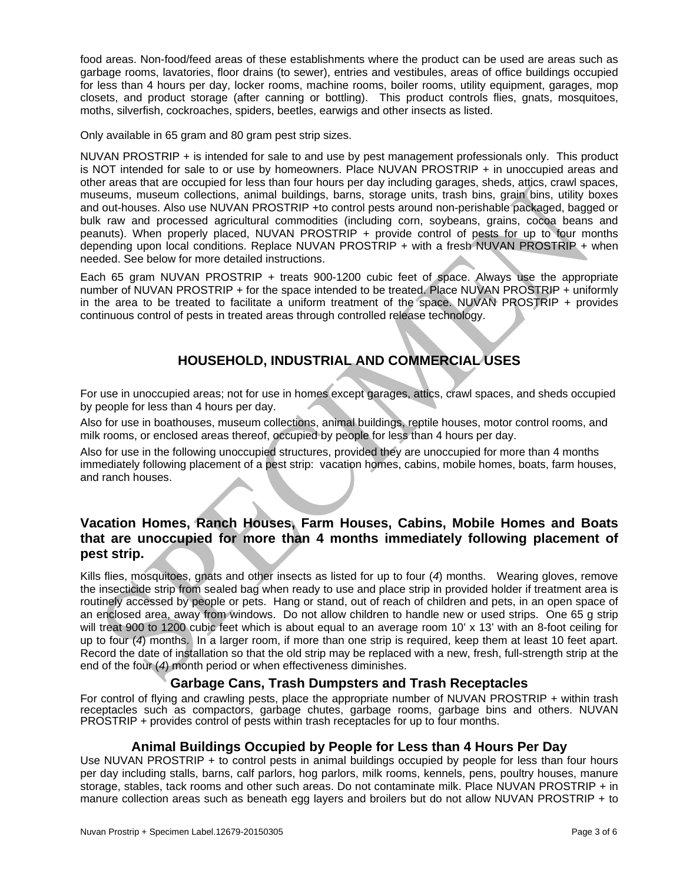food areas. Non-food/feed areas of these establishments where the product can be used are areas such as garbage rooms, lavatories, floor drains (to sewer), entries and vestibules, areas of office buildings occupied for less than 4 hours per day, locker rooms, machine rooms, boiler rooms, utility equipment, garages, mop closets, and product storage (after canning or bottling). This product controls flies, gnats, mosquitoes, moths, silverfish, cockroaches, spiders, beetles, earwigs and other insects as listed.

Only available in 65 gram and 80 gram pest strip sizes.

NUVAN PROSTRIP + is intended for sale to and use by pest management professionals only. This product is NOT intended for sale to or use by homeowners. Place NUVAN PROSTRIP + in unoccupied areas and other areas that are occupied for less than four hours per day including garages, sheds, attics, crawl spaces, museums, museum collections, animal buildings, barns, storage units, trash bins, grain bins, utility boxes and out-houses. Also use NUVAN PROSTRIP +to control pests around non-perishable packaged, bagged or bulk raw and processed agricultural commodities (including corn, soybeans, grains, cocoa beans and peanuts). When properly placed, NUVAN PROSTRIP + provide control of pests for up to four months depending upon local conditions. Replace NUVAN PROSTRIP + with a fresh NUVAN PROSTRIP + when needed. See below for more detailed instructions.

Each 65 gram NUVAN PROSTRIP + treats 900-1200 cubic feet of space. Always use the appropriate number of NUVAN PROSTRIP + for the space intended to be treated. Place NUVAN PROSTRIP + uniformly in the area to be treated to facilitate a uniform treatment of the space. NUVAN PROSTRIP + provides continuous control of pests in treated areas through controlled release technology.

# **HOUSEHOLD, INDUSTRIAL AND COMMERCIAL USES**

For use in unoccupied areas; not for use in homes except garages, attics, crawl spaces, and sheds occupied by people for less than 4 hours per day.

Also for use in boathouses, museum collections, animal buildings, reptile houses, motor control rooms, and milk rooms, or enclosed areas thereof, occupied by people for less than 4 hours per day.

Also for use in the following unoccupied structures, provided they are unoccupied for more than 4 months immediately following placement of a pest strip: vacation homes, cabins, mobile homes, boats, farm houses, and ranch houses.

# **Vacation Homes, Ranch Houses, Farm Houses, Cabins, Mobile Homes and Boats that are unoccupied for more than 4 months immediately following placement of pest strip.**

Kills flies, mosquitoes, gnats and other insects as listed for up to four (*4*) months. Wearing gloves, remove the insecticide strip from sealed bag when ready to use and place strip in provided holder if treatment area is routinely accessed by people or pets. Hang or stand, out of reach of children and pets, in an open space of an enclosed area, away from windows. Do not allow children to handle new or used strips. One 65 g strip will treat 900 to 1200 cubic feet which is about equal to an average room 10' x 13' with an 8-foot ceiling for up to four (*4*) months. In a larger room, if more than one strip is required, keep them at least 10 feet apart. Record the date of installation so that the old strip may be replaced with a new, fresh, full-strength strip at the end of the four (*4*) month period or when effectiveness diminishes.

# **Garbage Cans, Trash Dumpsters and Trash Receptacles**

For control of flying and crawling pests, place the appropriate number of NUVAN PROSTRIP + within trash receptacles such as compactors, garbage chutes, garbage rooms, garbage bins and others. NUVAN PROSTRIP + provides control of pests within trash receptacles for up to four months.

# **Animal Buildings Occupied by People for Less than 4 Hours Per Day**

Use NUVAN PROSTRIP + to control pests in animal buildings occupied by people for less than four hours per day including stalls, barns, calf parlors, hog parlors, milk rooms, kennels, pens, poultry houses, manure storage, stables, tack rooms and other such areas. Do not contaminate milk. Place NUVAN PROSTRIP + in manure collection areas such as beneath egg layers and broilers but do not allow NUVAN PROSTRIP + to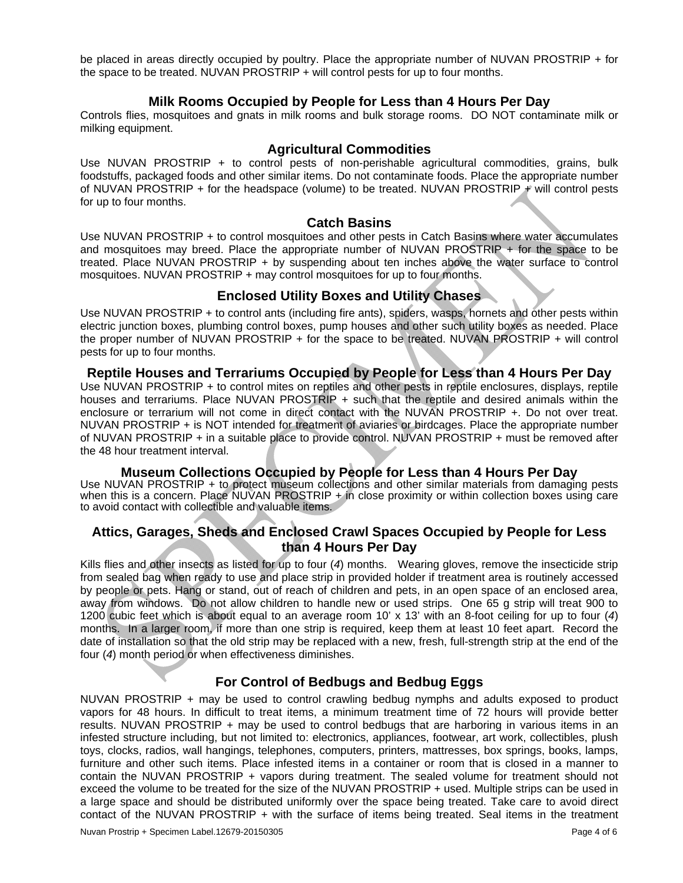be placed in areas directly occupied by poultry. Place the appropriate number of NUVAN PROSTRIP + for the space to be treated. NUVAN PROSTRIP + will control pests for up to four months.

## **Milk Rooms Occupied by People for Less than 4 Hours Per Day**

Controls flies, mosquitoes and gnats in milk rooms and bulk storage rooms. DO NOT contaminate milk or milking equipment.

#### **Agricultural Commodities**

Use NUVAN PROSTRIP + to control pests of non-perishable agricultural commodities, grains, bulk foodstuffs, packaged foods and other similar items. Do not contaminate foods. Place the appropriate number of NUVAN PROSTRIP + for the headspace (volume) to be treated. NUVAN PROSTRIP  $\neq$  will control pests for up to four months.

#### **Catch Basins**

Use NUVAN PROSTRIP + to control mosquitoes and other pests in Catch Basins where water accumulates and mosquitoes may breed. Place the appropriate number of NUVAN PROSTRIP  $+$  for the space to be treated. Place NUVAN PROSTRIP + by suspending about ten inches above the water surface to control mosquitoes. NUVAN PROSTRIP + may control mosquitoes for up to four months.

## **Enclosed Utility Boxes and Utility Chases**

Use NUVAN PROSTRIP + to control ants (including fire ants), spiders, wasps, hornets and other pests within electric junction boxes, plumbing control boxes, pump houses and other such utility boxes as needed. Place the proper number of NUVAN PROSTRIP + for the space to be treated. NUVAN PROSTRIP + will control pests for up to four months.

#### **Reptile Houses and Terrariums Occupied by People for Less than 4 Hours Per Day**

Use NUVAN PROSTRIP + to control mites on reptiles and other pests in reptile enclosures, displays, reptile houses and terrariums. Place NUVAN PROSTRIP + such that the reptile and desired animals within the enclosure or terrarium will not come in direct contact with the NUVAN PROSTRIP +. Do not over treat. NUVAN PROSTRIP + is NOT intended for treatment of aviaries or birdcages. Place the appropriate number of NUVAN PROSTRIP + in a suitable place to provide control. NUVAN PROSTRIP + must be removed after the 48 hour treatment interval.

## **Museum Collections Occupied by People for Less than 4 Hours Per Day**

Use NUVAN PROSTRIP + to protect museum collections and other similar materials from damaging pests when this is a concern. Place NUVAN PROSTRIP + in close proximity or within collection boxes using care to avoid contact with collectible and valuable items.

# **Attics, Garages, Sheds and Enclosed Crawl Spaces Occupied by People for Less than 4 Hours Per Day**

Kills flies and other insects as listed for up to four (4) months. Wearing gloves, remove the insecticide strip from sealed bag when ready to use and place strip in provided holder if treatment area is routinely accessed by people or pets. Hang or stand, out of reach of children and pets, in an open space of an enclosed area, away from windows. Do not allow children to handle new or used strips. One 65 g strip will treat 900 to 1200 cubic feet which is about equal to an average room 10' x 13' with an 8-foot ceiling for up to four (*4*) months. In a larger room, if more than one strip is required, keep them at least 10 feet apart. Record the date of installation so that the old strip may be replaced with a new, fresh, full-strength strip at the end of the four (*4*) month period or when effectiveness diminishes.

# **For Control of Bedbugs and Bedbug Eggs**

NUVAN PROSTRIP + may be used to control crawling bedbug nymphs and adults exposed to product vapors for 48 hours. In difficult to treat items, a minimum treatment time of 72 hours will provide better results. NUVAN PROSTRIP + may be used to control bedbugs that are harboring in various items in an infested structure including, but not limited to: electronics, appliances, footwear, art work, collectibles, plush toys, clocks, radios, wall hangings, telephones, computers, printers, mattresses, box springs, books, lamps, furniture and other such items. Place infested items in a container or room that is closed in a manner to contain the NUVAN PROSTRIP + vapors during treatment. The sealed volume for treatment should not exceed the volume to be treated for the size of the NUVAN PROSTRIP + used. Multiple strips can be used in a large space and should be distributed uniformly over the space being treated. Take care to avoid direct contact of the NUVAN PROSTRIP + with the surface of items being treated. Seal items in the treatment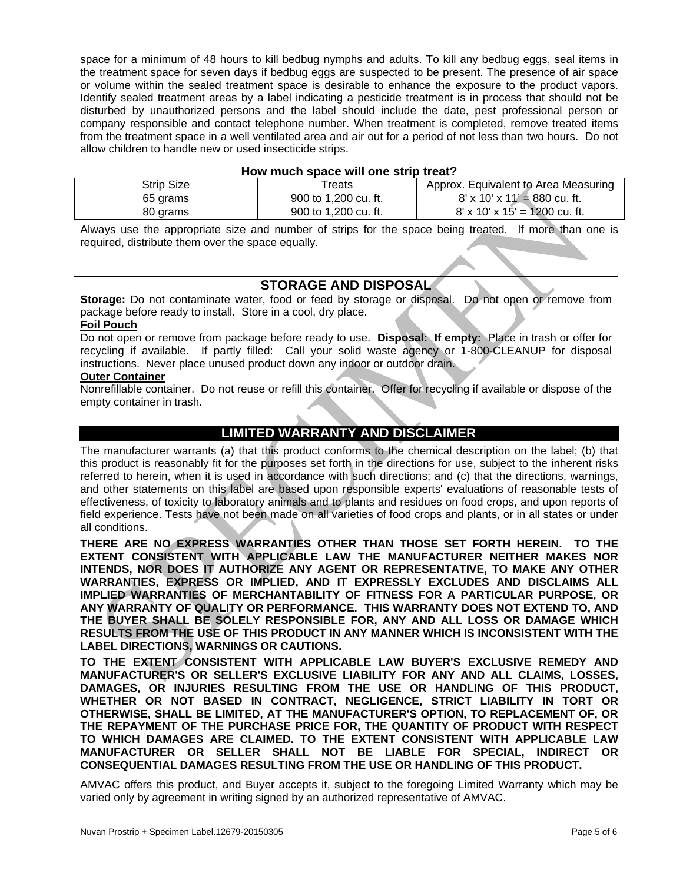space for a minimum of 48 hours to kill bedbug nymphs and adults. To kill any bedbug eggs, seal items in the treatment space for seven days if bedbug eggs are suspected to be present. The presence of air space or volume within the sealed treatment space is desirable to enhance the exposure to the product vapors. Identify sealed treatment areas by a label indicating a pesticide treatment is in process that should not be disturbed by unauthorized persons and the label should include the date, pest professional person or company responsible and contact telephone number. When treatment is completed, remove treated items from the treatment space in a well ventilated area and air out for a period of not less than two hours. Do not allow children to handle new or used insecticide strips.

#### **How much space will one strip treat?**

| <b>Strip Size</b> | Treats               | Approx. Equivalent to Area Measuring      |
|-------------------|----------------------|-------------------------------------------|
| 65 grams          | 900 to 1,200 cu. ft. | $8' \times 10' \times 11' = 880$ cu. ft.  |
| 80 grams          | 900 to 1,200 cu. ft. | $8' \times 10' \times 15' = 1200$ cu. ft. |

Always use the appropriate size and number of strips for the space being treated. If more than one is required, distribute them over the space equally.

## **STORAGE AND DISPOSAL**

**Storage:** Do not contaminate water, food or feed by storage or disposal. Do not open or remove from package before ready to install. Store in a cool, dry place.

#### **Foil Pouch**

Do not open or remove from package before ready to use. **Disposal: If empty:** Place in trash or offer for recycling if available. If partly filled: Call your solid waste agency or 1-800-CLEANUP for disposal instructions. Never place unused product down any indoor or outdoor drain.

#### **Outer Container**

Nonrefillable container. Do not reuse or refill this container. Offer for recycling if available or dispose of the empty container in trash.

# **LIMITED WARRANTY AND DISCLAIMER**

The manufacturer warrants (a) that this product conforms to the chemical description on the label; (b) that this product is reasonably fit for the purposes set forth in the directions for use, subject to the inherent risks referred to herein, when it is used in accordance with such directions; and (c) that the directions, warnings, and other statements on this label are based upon responsible experts' evaluations of reasonable tests of effectiveness, of toxicity to laboratory animals and to plants and residues on food crops, and upon reports of field experience. Tests have not been made on all varieties of food crops and plants, or in all states or under all conditions.

**THERE ARE NO EXPRESS WARRANTIES OTHER THAN THOSE SET FORTH HEREIN. TO THE EXTENT CONSISTENT WITH APPLICABLE LAW THE MANUFACTURER NEITHER MAKES NOR INTENDS, NOR DOES IT AUTHORIZE ANY AGENT OR REPRESENTATIVE, TO MAKE ANY OTHER WARRANTIES, EXPRESS OR IMPLIED, AND IT EXPRESSLY EXCLUDES AND DISCLAIMS ALL IMPLIED WARRANTIES OF MERCHANTABILITY OF FITNESS FOR A PARTICULAR PURPOSE, OR ANY WARRANTY OF QUALITY OR PERFORMANCE. THIS WARRANTY DOES NOT EXTEND TO, AND THE BUYER SHALL BE SOLELY RESPONSIBLE FOR, ANY AND ALL LOSS OR DAMAGE WHICH RESULTS FROM THE USE OF THIS PRODUCT IN ANY MANNER WHICH IS INCONSISTENT WITH THE LABEL DIRECTIONS, WARNINGS OR CAUTIONS.** 

**TO THE EXTENT CONSISTENT WITH APPLICABLE LAW BUYER'S EXCLUSIVE REMEDY AND MANUFACTURER'S OR SELLER'S EXCLUSIVE LIABILITY FOR ANY AND ALL CLAIMS, LOSSES, DAMAGES, OR INJURIES RESULTING FROM THE USE OR HANDLING OF THIS PRODUCT, WHETHER OR NOT BASED IN CONTRACT, NEGLIGENCE, STRICT LIABILITY IN TORT OR OTHERWISE, SHALL BE LIMITED, AT THE MANUFACTURER'S OPTION, TO REPLACEMENT OF, OR THE REPAYMENT OF THE PURCHASE PRICE FOR, THE QUANTITY OF PRODUCT WITH RESPECT TO WHICH DAMAGES ARE CLAIMED. TO THE EXTENT CONSISTENT WITH APPLICABLE LAW MANUFACTURER OR SELLER SHALL NOT BE LIABLE FOR SPECIAL, INDIRECT OR CONSEQUENTIAL DAMAGES RESULTING FROM THE USE OR HANDLING OF THIS PRODUCT.** 

AMVAC offers this product, and Buyer accepts it, subject to the foregoing Limited Warranty which may be varied only by agreement in writing signed by an authorized representative of AMVAC.